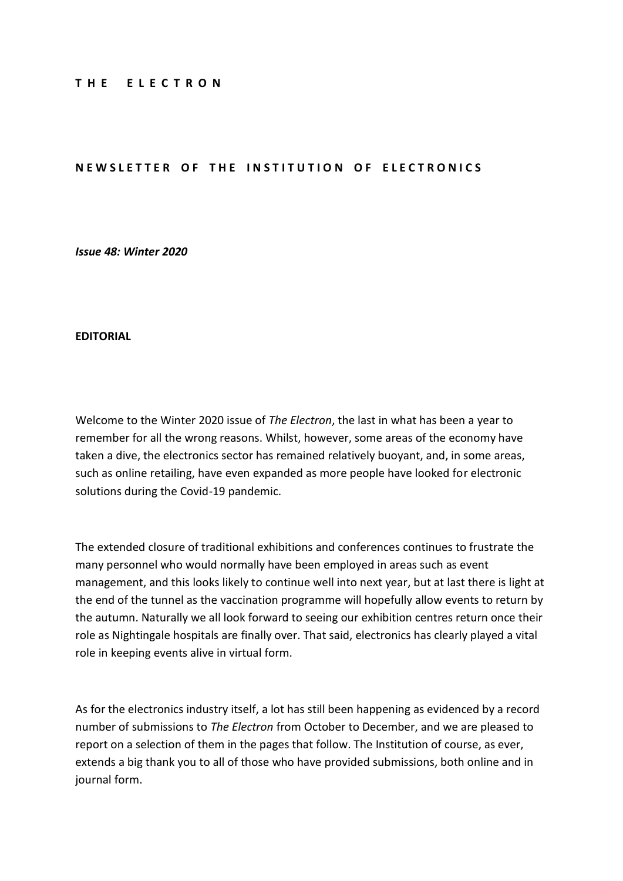#### **T H E E L E C T R O N**

#### **NEWSLETTER OF THE INSTITUTION OF ELECTRONICS**

*Issue 48: Winter 2020*

#### **EDITORIAL**

Welcome to the Winter 2020 issue of *The Electron*, the last in what has been a year to remember for all the wrong reasons. Whilst, however, some areas of the economy have taken a dive, the electronics sector has remained relatively buoyant, and, in some areas, such as online retailing, have even expanded as more people have looked for electronic solutions during the Covid-19 pandemic.

The extended closure of traditional exhibitions and conferences continues to frustrate the many personnel who would normally have been employed in areas such as event management, and this looks likely to continue well into next year, but at last there is light at the end of the tunnel as the vaccination programme will hopefully allow events to return by the autumn. Naturally we all look forward to seeing our exhibition centres return once their role as Nightingale hospitals are finally over. That said, electronics has clearly played a vital role in keeping events alive in virtual form.

As for the electronics industry itself, a lot has still been happening as evidenced by a record number of submissions to *The Electron* from October to December, and we are pleased to report on a selection of them in the pages that follow. The Institution of course, as ever, extends a big thank you to all of those who have provided submissions, both online and in journal form.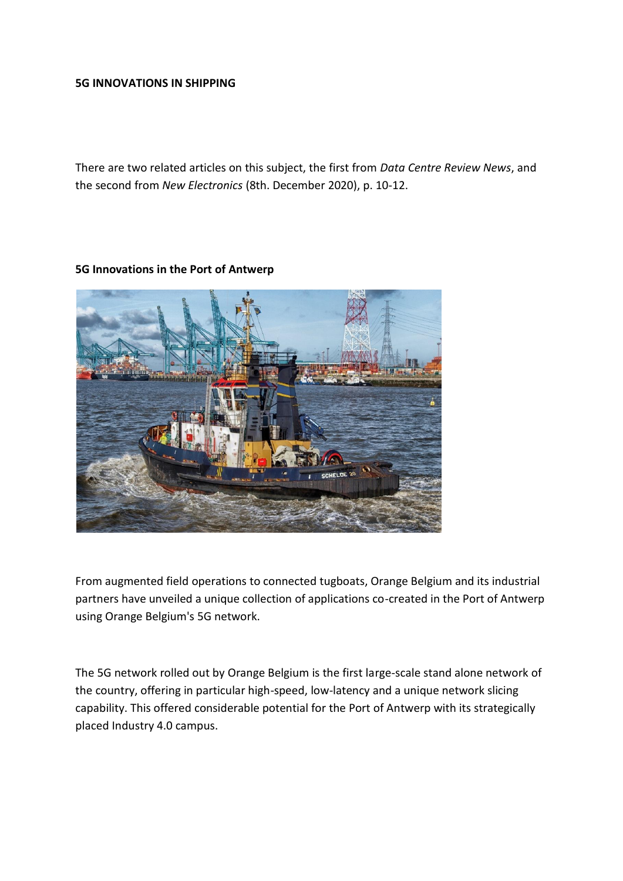#### **5G INNOVATIONS IN SHIPPING**

There are two related articles on this subject, the first from *Data Centre Review News*, and the second from *New Electronics* (8th. December 2020), p. 10-12.

#### **5G Innovations in the Port of Antwerp**



From augmented field operations to connected tugboats, Orange Belgium and its industrial partners have unveiled a unique collection of applications co-created in the Port of Antwerp using Orange Belgium's 5G network.

The 5G network rolled out by Orange Belgium is the first large-scale stand alone network of the country, offering in particular high-speed, low-latency and a unique network slicing capability. This offered considerable potential for the Port of Antwerp with its strategically placed Industry 4.0 campus.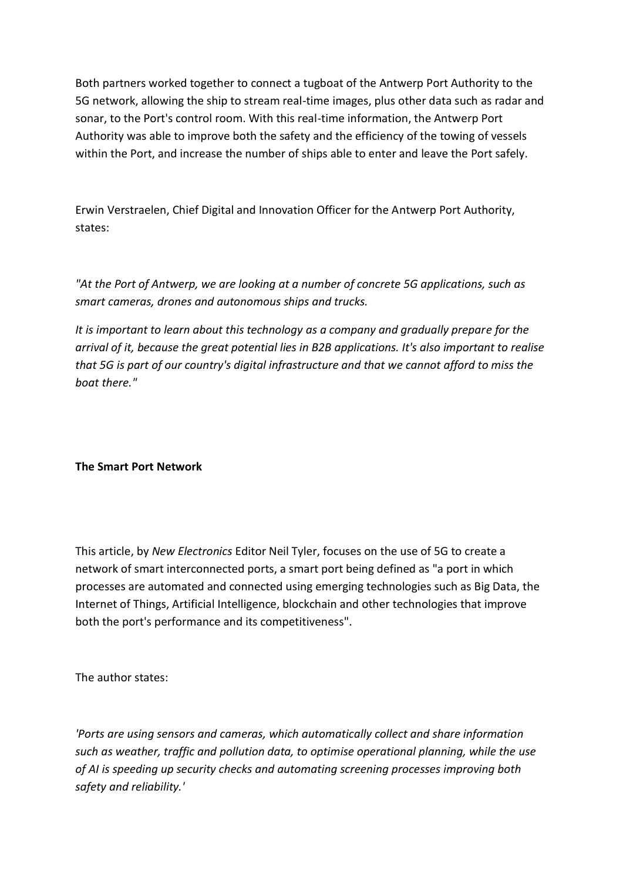Both partners worked together to connect a tugboat of the Antwerp Port Authority to the 5G network, allowing the ship to stream real-time images, plus other data such as radar and sonar, to the Port's control room. With this real-time information, the Antwerp Port Authority was able to improve both the safety and the efficiency of the towing of vessels within the Port, and increase the number of ships able to enter and leave the Port safely.

Erwin Verstraelen, Chief Digital and Innovation Officer for the Antwerp Port Authority, states:

*"At the Port of Antwerp, we are looking at a number of concrete 5G applications, such as smart cameras, drones and autonomous ships and trucks.*

*It is important to learn about this technology as a company and gradually prepare for the arrival of it, because the great potential lies in B2B applications. It's also important to realise that 5G is part of our country's digital infrastructure and that we cannot afford to miss the boat there."*

# **The Smart Port Network**

This article, by *New Electronics* Editor Neil Tyler, focuses on the use of 5G to create a network of smart interconnected ports, a smart port being defined as "a port in which processes are automated and connected using emerging technologies such as Big Data, the Internet of Things, Artificial Intelligence, blockchain and other technologies that improve both the port's performance and its competitiveness".

The author states:

*'Ports are using sensors and cameras, which automatically collect and share information such as weather, traffic and pollution data, to optimise operational planning, while the use of AI is speeding up security checks and automating screening processes improving both safety and reliability.'*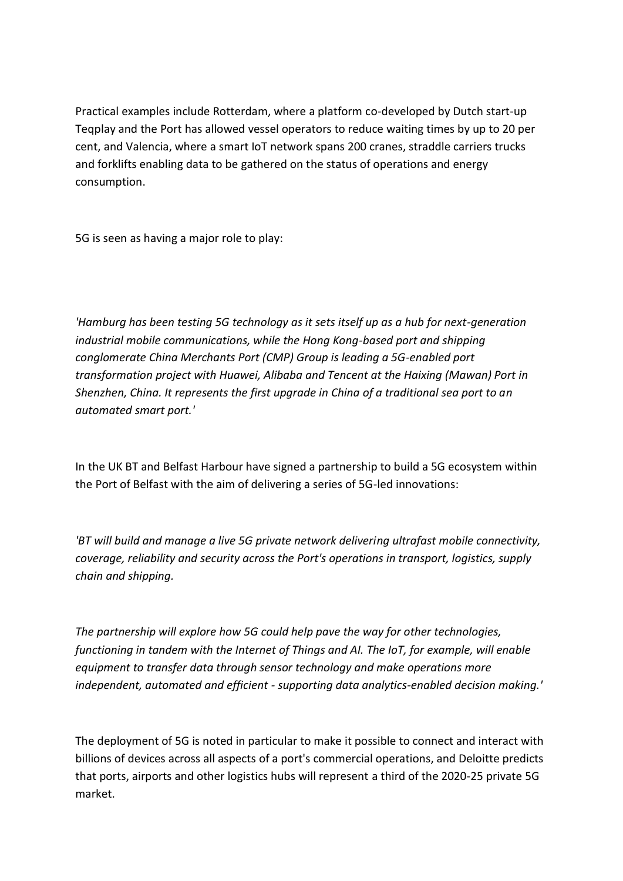Practical examples include Rotterdam, where a platform co-developed by Dutch start-up Teqplay and the Port has allowed vessel operators to reduce waiting times by up to 20 per cent, and Valencia, where a smart IoT network spans 200 cranes, straddle carriers trucks and forklifts enabling data to be gathered on the status of operations and energy consumption.

5G is seen as having a major role to play:

*'Hamburg has been testing 5G technology as it sets itself up as a hub for next-generation industrial mobile communications, while the Hong Kong-based port and shipping conglomerate China Merchants Port (CMP) Group is leading a 5G-enabled port transformation project with Huawei, Alibaba and Tencent at the Haixing (Mawan) Port in Shenzhen, China. It represents the first upgrade in China of a traditional sea port to an automated smart port.'*

In the UK BT and Belfast Harbour have signed a partnership to build a 5G ecosystem within the Port of Belfast with the aim of delivering a series of 5G-led innovations:

*'BT will build and manage a live 5G private network delivering ultrafast mobile connectivity, coverage, reliability and security across the Port's operations in transport, logistics, supply chain and shipping.*

*The partnership will explore how 5G could help pave the way for other technologies, functioning in tandem with the Internet of Things and AI. The IoT, for example, will enable equipment to transfer data through sensor technology and make operations more independent, automated and efficient - supporting data analytics-enabled decision making.'*

The deployment of 5G is noted in particular to make it possible to connect and interact with billions of devices across all aspects of a port's commercial operations, and Deloitte predicts that ports, airports and other logistics hubs will represent a third of the 2020-25 private 5G market.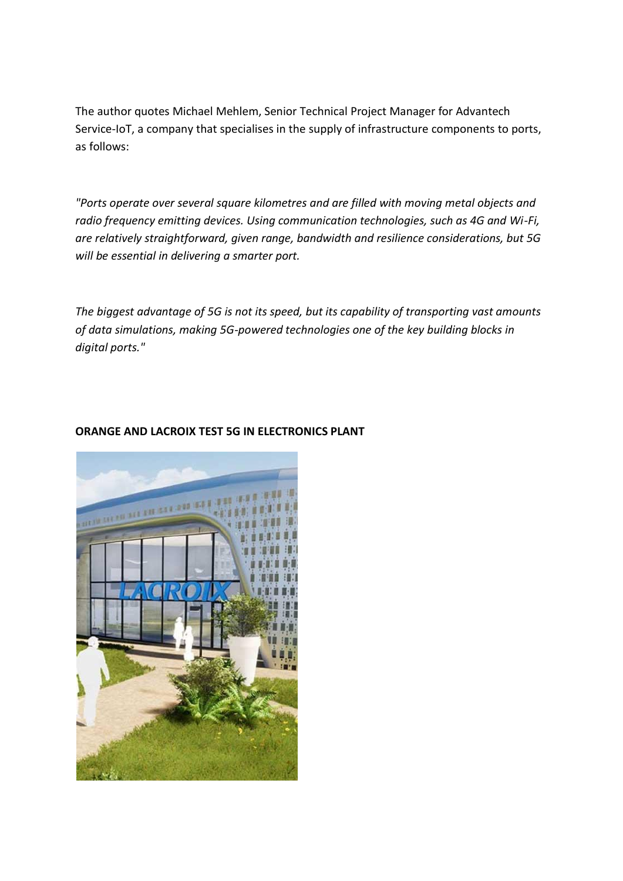The author quotes Michael Mehlem, Senior Technical Project Manager for Advantech Service-IoT, a company that specialises in the supply of infrastructure components to ports, as follows:

*"Ports operate over several square kilometres and are filled with moving metal objects and radio frequency emitting devices. Using communication technologies, such as 4G and Wi-Fi, are relatively straightforward, given range, bandwidth and resilience considerations, but 5G will be essential in delivering a smarter port.*

*The biggest advantage of 5G is not its speed, but its capability of transporting vast amounts of data simulations, making 5G-powered technologies one of the key building blocks in digital ports."*



# **ORANGE AND LACROIX TEST 5G IN ELECTRONICS PLANT**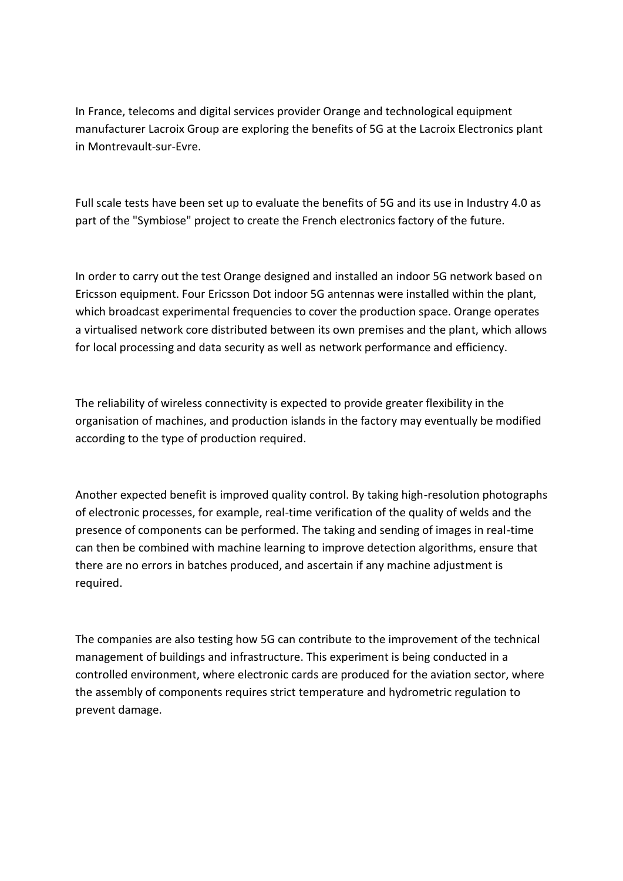In France, telecoms and digital services provider Orange and technological equipment manufacturer Lacroix Group are exploring the benefits of 5G at the Lacroix Electronics plant in Montrevault-sur-Evre.

Full scale tests have been set up to evaluate the benefits of 5G and its use in Industry 4.0 as part of the "Symbiose" project to create the French electronics factory of the future.

In order to carry out the test Orange designed and installed an indoor 5G network based on Ericsson equipment. Four Ericsson Dot indoor 5G antennas were installed within the plant, which broadcast experimental frequencies to cover the production space. Orange operates a virtualised network core distributed between its own premises and the plant, which allows for local processing and data security as well as network performance and efficiency.

The reliability of wireless connectivity is expected to provide greater flexibility in the organisation of machines, and production islands in the factory may eventually be modified according to the type of production required.

Another expected benefit is improved quality control. By taking high-resolution photographs of electronic processes, for example, real-time verification of the quality of welds and the presence of components can be performed. The taking and sending of images in real-time can then be combined with machine learning to improve detection algorithms, ensure that there are no errors in batches produced, and ascertain if any machine adjustment is required.

The companies are also testing how 5G can contribute to the improvement of the technical management of buildings and infrastructure. This experiment is being conducted in a controlled environment, where electronic cards are produced for the aviation sector, where the assembly of components requires strict temperature and hydrometric regulation to prevent damage.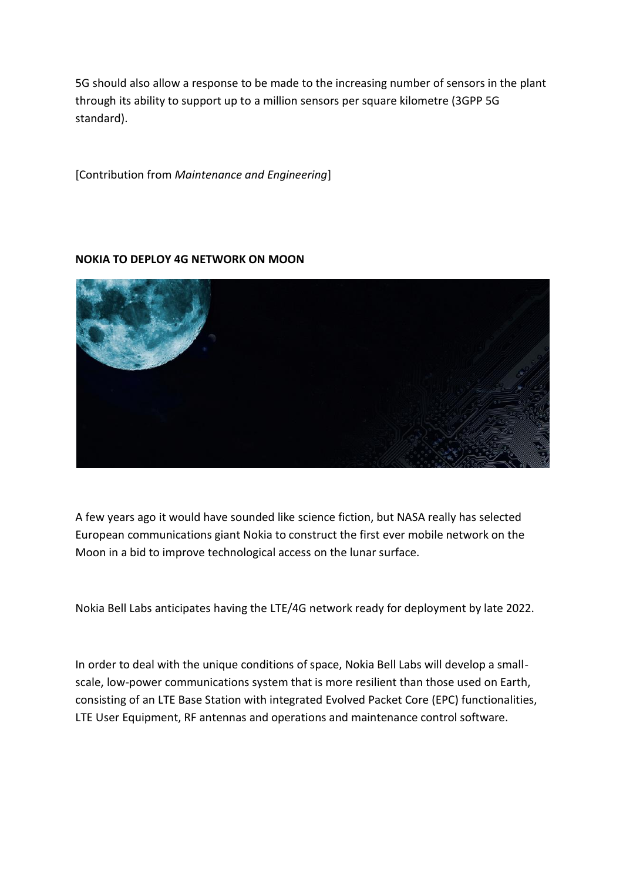5G should also allow a response to be made to the increasing number of sensors in the plant through its ability to support up to a million sensors per square kilometre (3GPP 5G standard).

[Contribution from *Maintenance and Engineering*]

#### **NOKIA TO DEPLOY 4G NETWORK ON MOON**



A few years ago it would have sounded like science fiction, but NASA really has selected European communications giant Nokia to construct the first ever mobile network on the Moon in a bid to improve technological access on the lunar surface.

Nokia Bell Labs anticipates having the LTE/4G network ready for deployment by late 2022.

In order to deal with the unique conditions of space, Nokia Bell Labs will develop a smallscale, low-power communications system that is more resilient than those used on Earth, consisting of an LTE Base Station with integrated Evolved Packet Core (EPC) functionalities, LTE User Equipment, RF antennas and operations and maintenance control software.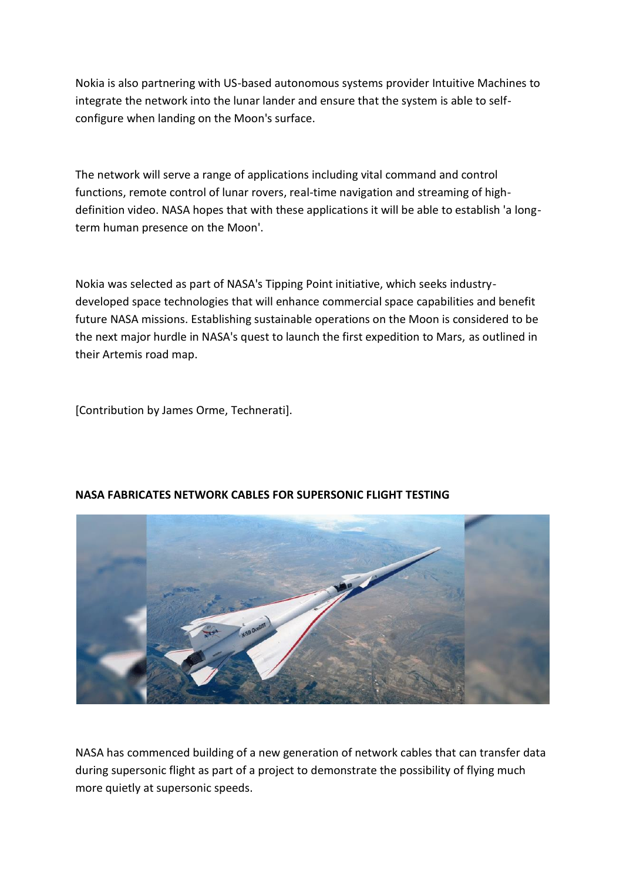Nokia is also partnering with US-based autonomous systems provider Intuitive Machines to integrate the network into the lunar lander and ensure that the system is able to selfconfigure when landing on the Moon's surface.

The network will serve a range of applications including vital command and control functions, remote control of lunar rovers, real-time navigation and streaming of highdefinition video. NASA hopes that with these applications it will be able to establish 'a longterm human presence on the Moon'.

Nokia was selected as part of NASA's Tipping Point initiative, which seeks industrydeveloped space technologies that will enhance commercial space capabilities and benefit future NASA missions. Establishing sustainable operations on the Moon is considered to be the next major hurdle in NASA's quest to launch the first expedition to Mars, as outlined in their Artemis road map.

[Contribution by James Orme, Technerati].



# **NASA FABRICATES NETWORK CABLES FOR SUPERSONIC FLIGHT TESTING**

NASA has commenced building of a new generation of network cables that can transfer data during supersonic flight as part of a project to demonstrate the possibility of flying much more quietly at supersonic speeds.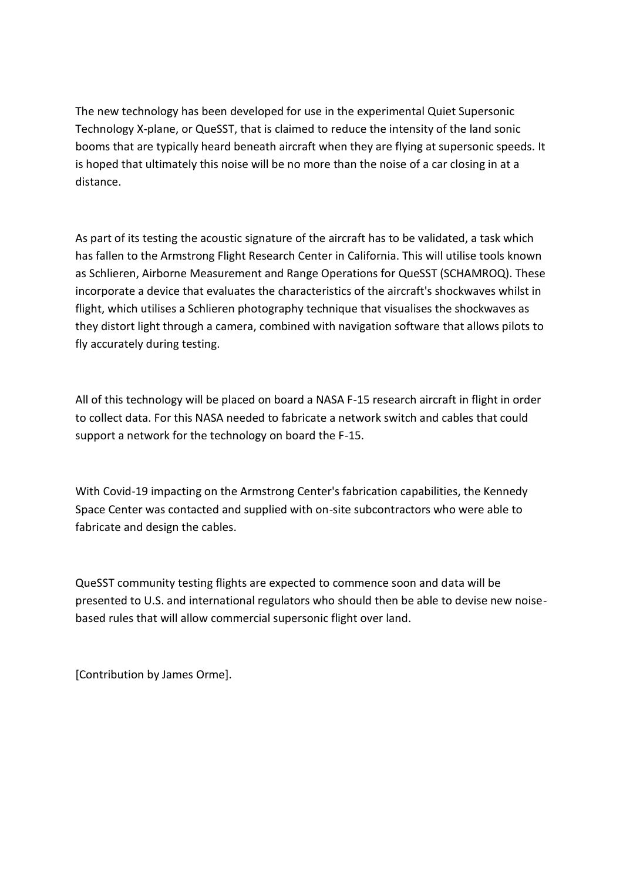The new technology has been developed for use in the experimental Quiet Supersonic Technology X-plane, or QueSST, that is claimed to reduce the intensity of the land sonic booms that are typically heard beneath aircraft when they are flying at supersonic speeds. It is hoped that ultimately this noise will be no more than the noise of a car closing in at a distance.

As part of its testing the acoustic signature of the aircraft has to be validated, a task which has fallen to the Armstrong Flight Research Center in California. This will utilise tools known as Schlieren, Airborne Measurement and Range Operations for QueSST (SCHAMROQ). These incorporate a device that evaluates the characteristics of the aircraft's shockwaves whilst in flight, which utilises a Schlieren photography technique that visualises the shockwaves as they distort light through a camera, combined with navigation software that allows pilots to fly accurately during testing.

All of this technology will be placed on board a NASA F-15 research aircraft in flight in order to collect data. For this NASA needed to fabricate a network switch and cables that could support a network for the technology on board the F-15.

With Covid-19 impacting on the Armstrong Center's fabrication capabilities, the Kennedy Space Center was contacted and supplied with on-site subcontractors who were able to fabricate and design the cables.

QueSST community testing flights are expected to commence soon and data will be presented to U.S. and international regulators who should then be able to devise new noisebased rules that will allow commercial supersonic flight over land.

[Contribution by James Orme].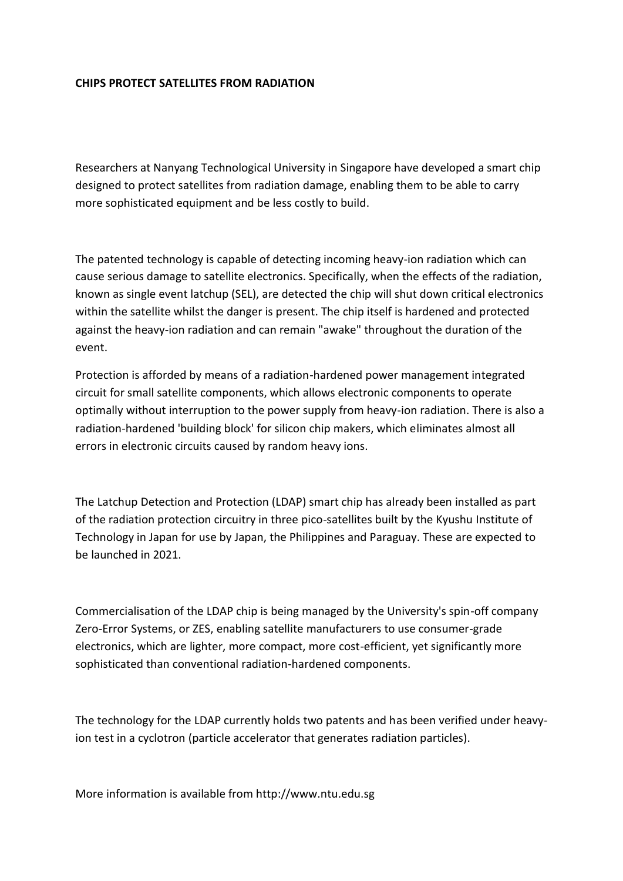#### **CHIPS PROTECT SATELLITES FROM RADIATION**

Researchers at Nanyang Technological University in Singapore have developed a smart chip designed to protect satellites from radiation damage, enabling them to be able to carry more sophisticated equipment and be less costly to build.

The patented technology is capable of detecting incoming heavy-ion radiation which can cause serious damage to satellite electronics. Specifically, when the effects of the radiation, known as single event latchup (SEL), are detected the chip will shut down critical electronics within the satellite whilst the danger is present. The chip itself is hardened and protected against the heavy-ion radiation and can remain "awake" throughout the duration of the event.

Protection is afforded by means of a radiation-hardened power management integrated circuit for small satellite components, which allows electronic components to operate optimally without interruption to the power supply from heavy-ion radiation. There is also a radiation-hardened 'building block' for silicon chip makers, which eliminates almost all errors in electronic circuits caused by random heavy ions.

The Latchup Detection and Protection (LDAP) smart chip has already been installed as part of the radiation protection circuitry in three pico-satellites built by the Kyushu Institute of Technology in Japan for use by Japan, the Philippines and Paraguay. These are expected to be launched in 2021.

Commercialisation of the LDAP chip is being managed by the University's spin-off company Zero-Error Systems, or ZES, enabling satellite manufacturers to use consumer-grade electronics, which are lighter, more compact, more cost-efficient, yet significantly more sophisticated than conventional radiation-hardened components.

The technology for the LDAP currently holds two patents and has been verified under heavyion test in a cyclotron (particle accelerator that generates radiation particles).

More information is available from http://www.ntu.edu.sg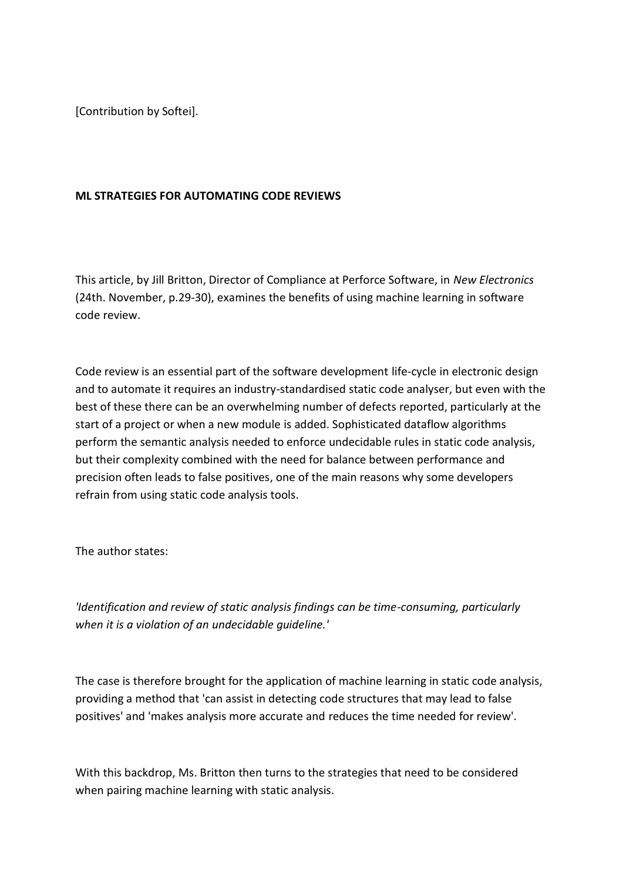[Contribution by Softei].

### **ML STRATEGIES FOR AUTOMATING CODE REVIEWS**

This article, by Jill Britton, Director of Compliance at Perforce Software, in *New Electronics* (24th. November, p.29-30), examines the benefits of using machine learning in software code review.

Code review is an essential part of the software development life-cycle in electronic design and to automate it requires an industry-standardised static code analyser, but even with the best of these there can be an overwhelming number of defects reported, particularly at the start of a project or when a new module is added. Sophisticated dataflow algorithms perform the semantic analysis needed to enforce undecidable rules in static code analysis, but their complexity combined with the need for balance between performance and precision often leads to false positives, one of the main reasons why some developers refrain from using static code analysis tools.

The author states:

*'Identification and review of static analysis findings can be time-consuming, particularly when it is a violation of an undecidable guideline.'*

The case is therefore brought for the application of machine learning in static code analysis, providing a method that 'can assist in detecting code structures that may lead to false positives' and 'makes analysis more accurate and reduces the time needed for review'.

With this backdrop, Ms. Britton then turns to the strategies that need to be considered when pairing machine learning with static analysis.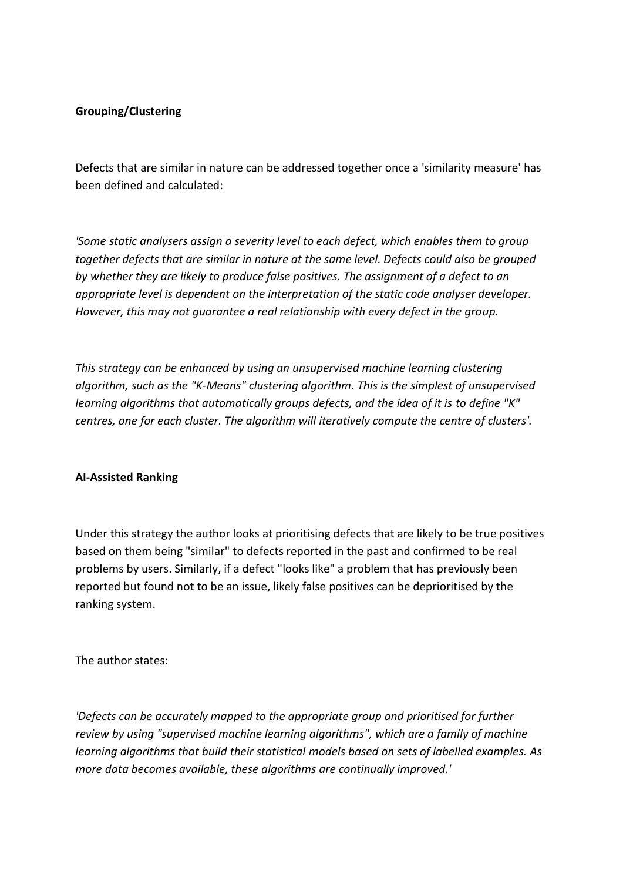#### **Grouping/Clustering**

Defects that are similar in nature can be addressed together once a 'similarity measure' has been defined and calculated:

*'Some static analysers assign a severity level to each defect, which enables them to group together defects that are similar in nature at the same level. Defects could also be grouped by whether they are likely to produce false positives. The assignment of a defect to an appropriate level is dependent on the interpretation of the static code analyser developer. However, this may not guarantee a real relationship with every defect in the group.*

*This strategy can be enhanced by using an unsupervised machine learning clustering algorithm, such as the "K-Means" clustering algorithm. This is the simplest of unsupervised learning algorithms that automatically groups defects, and the idea of it is to define "K" centres, one for each cluster. The algorithm will iteratively compute the centre of clusters'.*

#### **AI-Assisted Ranking**

Under this strategy the author looks at prioritising defects that are likely to be true positives based on them being "similar" to defects reported in the past and confirmed to be real problems by users. Similarly, if a defect "looks like" a problem that has previously been reported but found not to be an issue, likely false positives can be deprioritised by the ranking system.

The author states:

*'Defects can be accurately mapped to the appropriate group and prioritised for further review by using "supervised machine learning algorithms", which are a family of machine learning algorithms that build their statistical models based on sets of labelled examples. As more data becomes available, these algorithms are continually improved.'*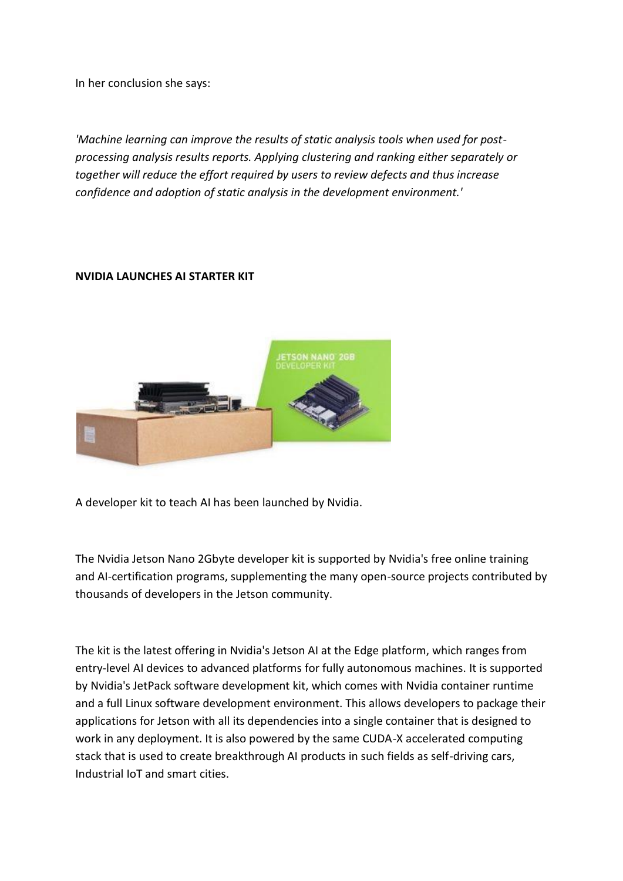In her conclusion she says:

*'Machine learning can improve the results of static analysis tools when used for postprocessing analysis results reports. Applying clustering and ranking either separately or together will reduce the effort required by users to review defects and thus increase confidence and adoption of static analysis in the development environment.'*

# **NVIDIA LAUNCHES AI STARTER KIT**



A developer kit to teach AI has been launched by Nvidia.

The Nvidia Jetson Nano 2Gbyte developer kit is supported by Nvidia's free online training and AI-certification programs, supplementing the many open-source projects contributed by thousands of developers in the Jetson community.

The kit is the latest offering in Nvidia's Jetson AI at the Edge platform, which ranges from entry-level AI devices to advanced platforms for fully autonomous machines. It is supported by Nvidia's JetPack software development kit, which comes with Nvidia container runtime and a full Linux software development environment. This allows developers to package their applications for Jetson with all its dependencies into a single container that is designed to work in any deployment. It is also powered by the same CUDA-X accelerated computing stack that is used to create breakthrough AI products in such fields as self-driving cars, Industrial IoT and smart cities.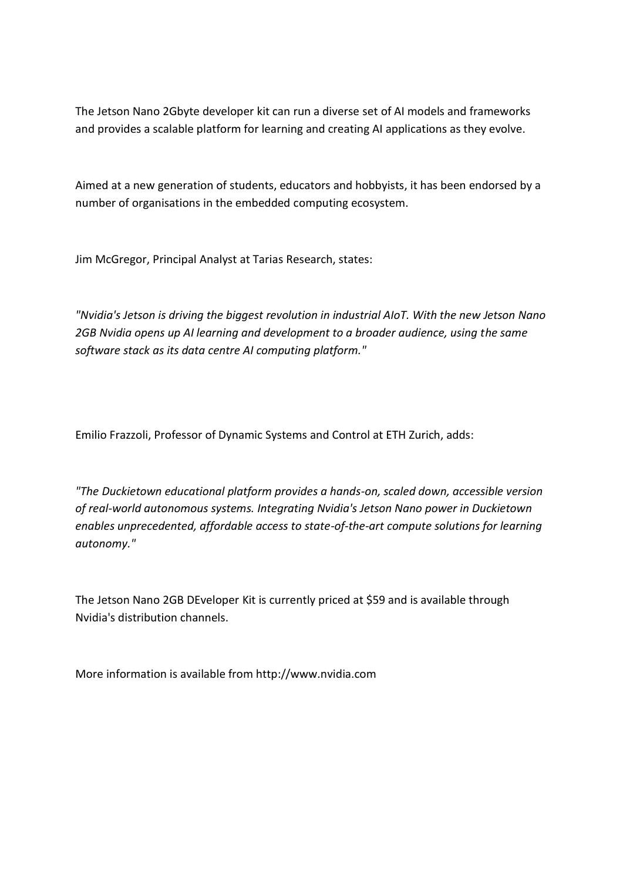The Jetson Nano 2Gbyte developer kit can run a diverse set of AI models and frameworks and provides a scalable platform for learning and creating AI applications as they evolve.

Aimed at a new generation of students, educators and hobbyists, it has been endorsed by a number of organisations in the embedded computing ecosystem.

Jim McGregor, Principal Analyst at Tarias Research, states:

*"Nvidia's Jetson is driving the biggest revolution in industrial AIoT. With the new Jetson Nano 2GB Nvidia opens up AI learning and development to a broader audience, using the same software stack as its data centre AI computing platform."*

Emilio Frazzoli, Professor of Dynamic Systems and Control at ETH Zurich, adds:

*"The Duckietown educational platform provides a hands-on, scaled down, accessible version of real-world autonomous systems. Integrating Nvidia's Jetson Nano power in Duckietown enables unprecedented, affordable access to state-of-the-art compute solutions for learning autonomy."*

The Jetson Nano 2GB DEveloper Kit is currently priced at \$59 and is available through Nvidia's distribution channels.

More information is available from http://www.nvidia.com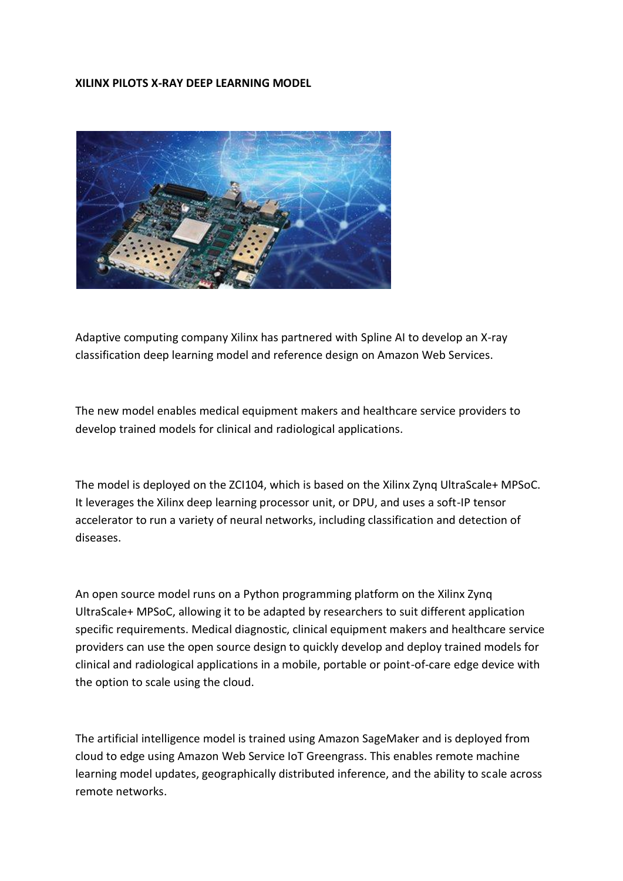#### **XILINX PILOTS X-RAY DEEP LEARNING MODEL**



Adaptive computing company Xilinx has partnered with Spline AI to develop an X-ray classification deep learning model and reference design on Amazon Web Services.

The new model enables medical equipment makers and healthcare service providers to develop trained models for clinical and radiological applications.

The model is deployed on the ZCI104, which is based on the Xilinx Zynq UltraScale+ MPSoC. It leverages the Xilinx deep learning processor unit, or DPU, and uses a soft-IP tensor accelerator to run a variety of neural networks, including classification and detection of diseases.

An open source model runs on a Python programming platform on the Xilinx Zynq UltraScale+ MPSoC, allowing it to be adapted by researchers to suit different application specific requirements. Medical diagnostic, clinical equipment makers and healthcare service providers can use the open source design to quickly develop and deploy trained models for clinical and radiological applications in a mobile, portable or point-of-care edge device with the option to scale using the cloud.

The artificial intelligence model is trained using Amazon SageMaker and is deployed from cloud to edge using Amazon Web Service IoT Greengrass. This enables remote machine learning model updates, geographically distributed inference, and the ability to scale across remote networks.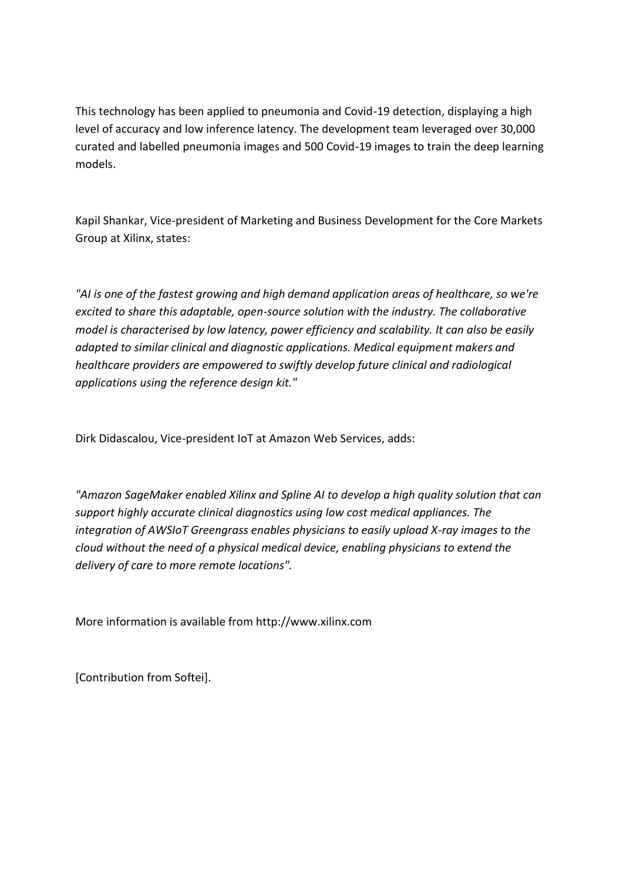This technology has been applied to pneumonia and Covid-19 detection, displaying a high level of accuracy and low inference latency. The development team leveraged over 30,000 curated and labelled pneumonia images and 500 Covid-19 images to train the deep learning models.

Kapil Shankar, Vice-president of Marketing and Business Development for the Core Markets Group at Xilinx, states:

*"AI is one of the fastest growing and high demand application areas of healthcare, so we're excited to share this adaptable, open-source solution with the industry. The collaborative model is characterised by low latency, power efficiency and scalability. It can also be easily adapted to similar clinical and diagnostic applications. Medical equipment makers and healthcare providers are empowered to swiftly develop future clinical and radiological applications using the reference design kit."*

Dirk Didascalou, Vice-president IoT at Amazon Web Services, adds:

*"Amazon SageMaker enabled Xilinx and Spline AI to develop a high quality solution that can support highly accurate clinical diagnostics using low cost medical appliances. The integration of AWSIoT Greengrass enables physicians to easily upload X-ray images to the cloud without the need of a physical medical device, enabling physicians to extend the delivery of care to more remote locations".*

More information is available from http://www.xilinx.com

[Contribution from Softei].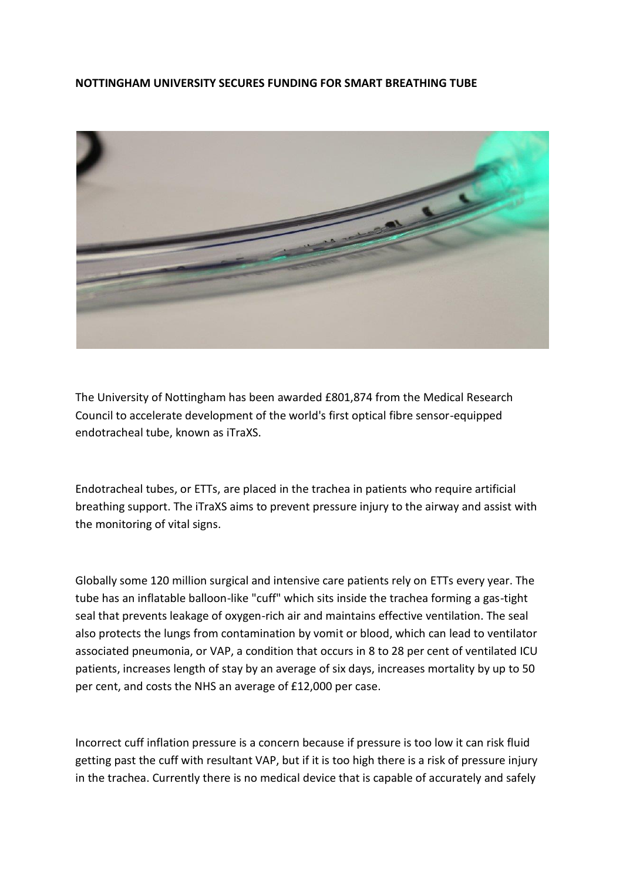#### **NOTTINGHAM UNIVERSITY SECURES FUNDING FOR SMART BREATHING TUBE**



The University of Nottingham has been awarded £801,874 from the Medical Research Council to accelerate development of the world's first optical fibre sensor-equipped endotracheal tube, known as iTraXS.

Endotracheal tubes, or ETTs, are placed in the trachea in patients who require artificial breathing support. The iTraXS aims to prevent pressure injury to the airway and assist with the monitoring of vital signs.

Globally some 120 million surgical and intensive care patients rely on ETTs every year. The tube has an inflatable balloon-like "cuff" which sits inside the trachea forming a gas-tight seal that prevents leakage of oxygen-rich air and maintains effective ventilation. The seal also protects the lungs from contamination by vomit or blood, which can lead to ventilator associated pneumonia, or VAP, a condition that occurs in 8 to 28 per cent of ventilated ICU patients, increases length of stay by an average of six days, increases mortality by up to 50 per cent, and costs the NHS an average of £12,000 per case.

Incorrect cuff inflation pressure is a concern because if pressure is too low it can risk fluid getting past the cuff with resultant VAP, but if it is too high there is a risk of pressure injury in the trachea. Currently there is no medical device that is capable of accurately and safely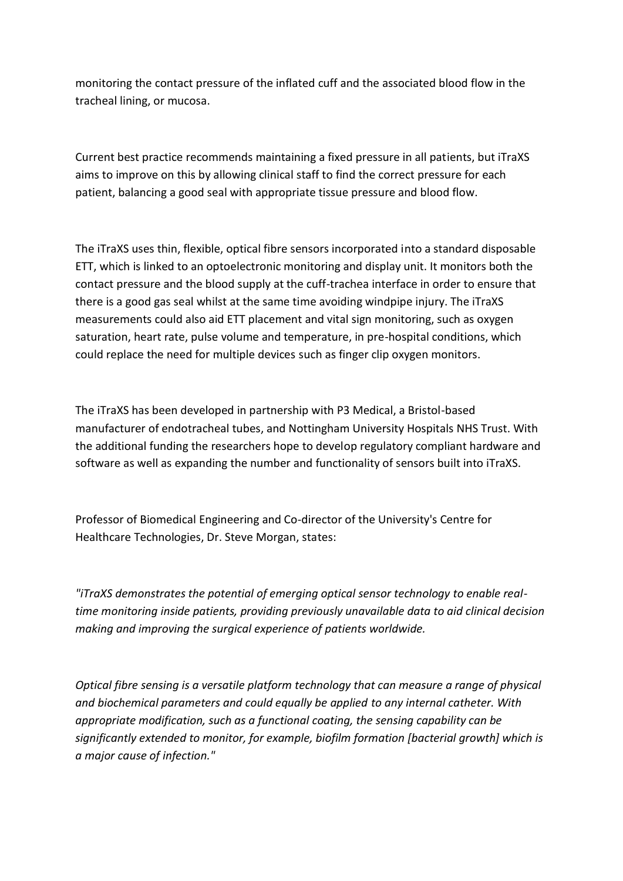monitoring the contact pressure of the inflated cuff and the associated blood flow in the tracheal lining, or mucosa.

Current best practice recommends maintaining a fixed pressure in all patients, but iTraXS aims to improve on this by allowing clinical staff to find the correct pressure for each patient, balancing a good seal with appropriate tissue pressure and blood flow.

The iTraXS uses thin, flexible, optical fibre sensors incorporated into a standard disposable ETT, which is linked to an optoelectronic monitoring and display unit. It monitors both the contact pressure and the blood supply at the cuff-trachea interface in order to ensure that there is a good gas seal whilst at the same time avoiding windpipe injury. The iTraXS measurements could also aid ETT placement and vital sign monitoring, such as oxygen saturation, heart rate, pulse volume and temperature, in pre-hospital conditions, which could replace the need for multiple devices such as finger clip oxygen monitors.

The iTraXS has been developed in partnership with P3 Medical, a Bristol-based manufacturer of endotracheal tubes, and Nottingham University Hospitals NHS Trust. With the additional funding the researchers hope to develop regulatory compliant hardware and software as well as expanding the number and functionality of sensors built into iTraXS.

Professor of Biomedical Engineering and Co-director of the University's Centre for Healthcare Technologies, Dr. Steve Morgan, states:

*"iTraXS demonstrates the potential of emerging optical sensor technology to enable realtime monitoring inside patients, providing previously unavailable data to aid clinical decision making and improving the surgical experience of patients worldwide.*

*Optical fibre sensing is a versatile platform technology that can measure a range of physical and biochemical parameters and could equally be applied to any internal catheter. With appropriate modification, such as a functional coating, the sensing capability can be significantly extended to monitor, for example, biofilm formation [bacterial growth] which is a major cause of infection."*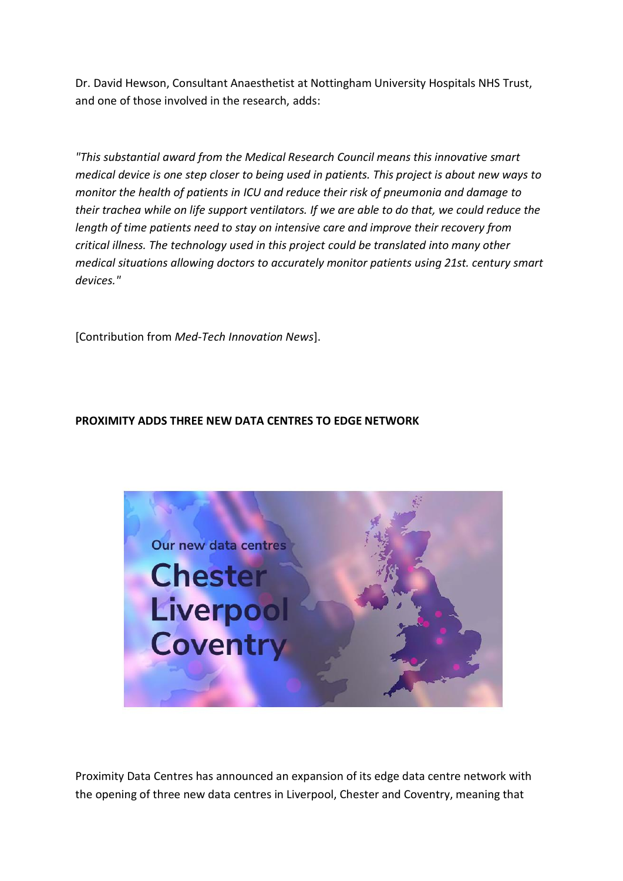Dr. David Hewson, Consultant Anaesthetist at Nottingham University Hospitals NHS Trust, and one of those involved in the research, adds:

*"This substantial award from the Medical Research Council means this innovative smart medical device is one step closer to being used in patients. This project is about new ways to monitor the health of patients in ICU and reduce their risk of pneumonia and damage to their trachea while on life support ventilators. If we are able to do that, we could reduce the length of time patients need to stay on intensive care and improve their recovery from critical illness. The technology used in this project could be translated into many other medical situations allowing doctors to accurately monitor patients using 21st. century smart devices."*

[Contribution from *Med-Tech Innovation News*].

# **PROXIMITY ADDS THREE NEW DATA CENTRES TO EDGE NETWORK**



Proximity Data Centres has announced an expansion of its edge data centre network with the opening of three new data centres in Liverpool, Chester and Coventry, meaning that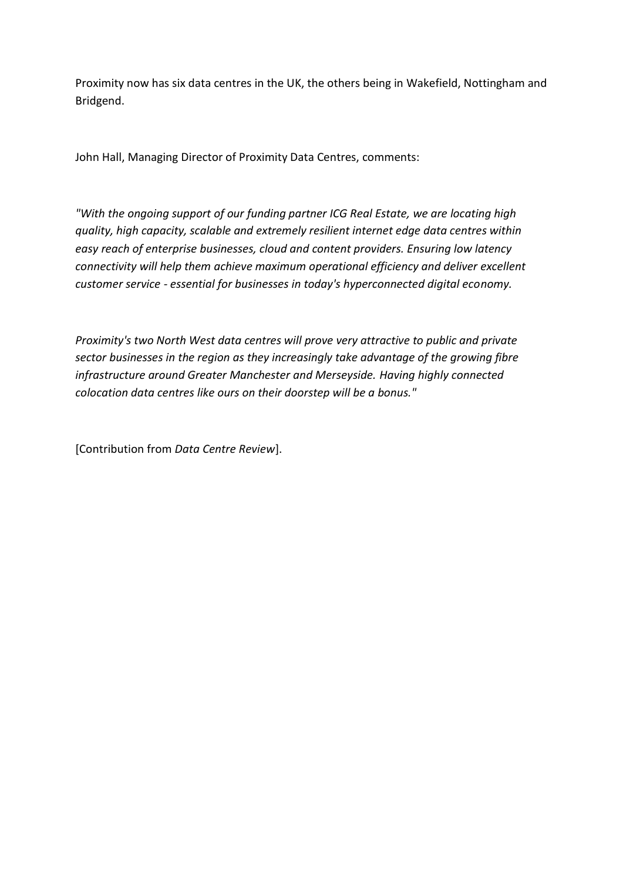Proximity now has six data centres in the UK, the others being in Wakefield, Nottingham and Bridgend.

John Hall, Managing Director of Proximity Data Centres, comments:

*"With the ongoing support of our funding partner ICG Real Estate, we are locating high quality, high capacity, scalable and extremely resilient internet edge data centres within easy reach of enterprise businesses, cloud and content providers. Ensuring low latency connectivity will help them achieve maximum operational efficiency and deliver excellent customer service - essential for businesses in today's hyperconnected digital economy.*

*Proximity's two North West data centres will prove very attractive to public and private sector businesses in the region as they increasingly take advantage of the growing fibre infrastructure around Greater Manchester and Merseyside. Having highly connected colocation data centres like ours on their doorstep will be a bonus."*

[Contribution from *Data Centre Review*].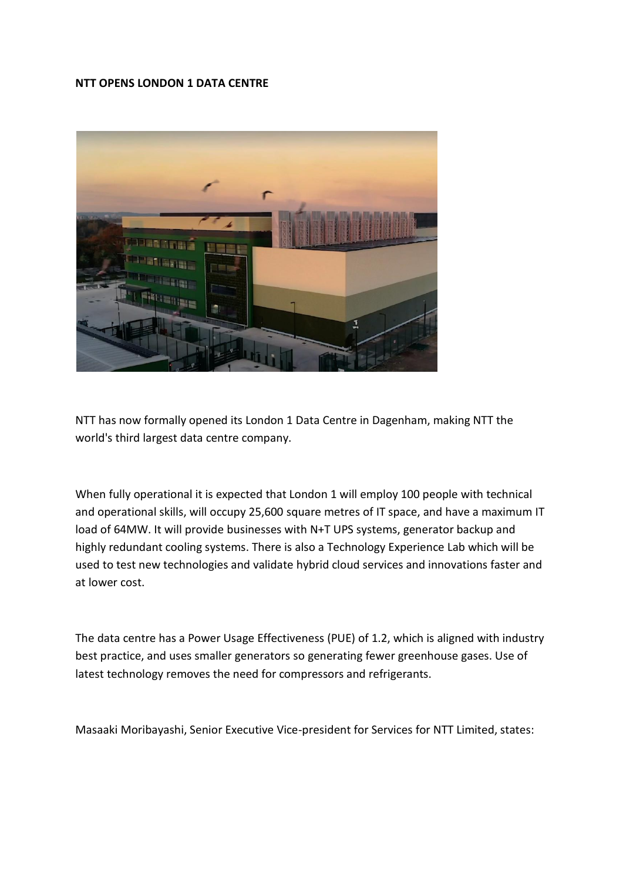#### **NTT OPENS LONDON 1 DATA CENTRE**



NTT has now formally opened its London 1 Data Centre in Dagenham, making NTT the world's third largest data centre company.

When fully operational it is expected that London 1 will employ 100 people with technical and operational skills, will occupy 25,600 square metres of IT space, and have a maximum IT load of 64MW. It will provide businesses with N+T UPS systems, generator backup and highly redundant cooling systems. There is also a Technology Experience Lab which will be used to test new technologies and validate hybrid cloud services and innovations faster and at lower cost.

The data centre has a Power Usage Effectiveness (PUE) of 1.2, which is aligned with industry best practice, and uses smaller generators so generating fewer greenhouse gases. Use of latest technology removes the need for compressors and refrigerants.

Masaaki Moribayashi, Senior Executive Vice-president for Services for NTT Limited, states: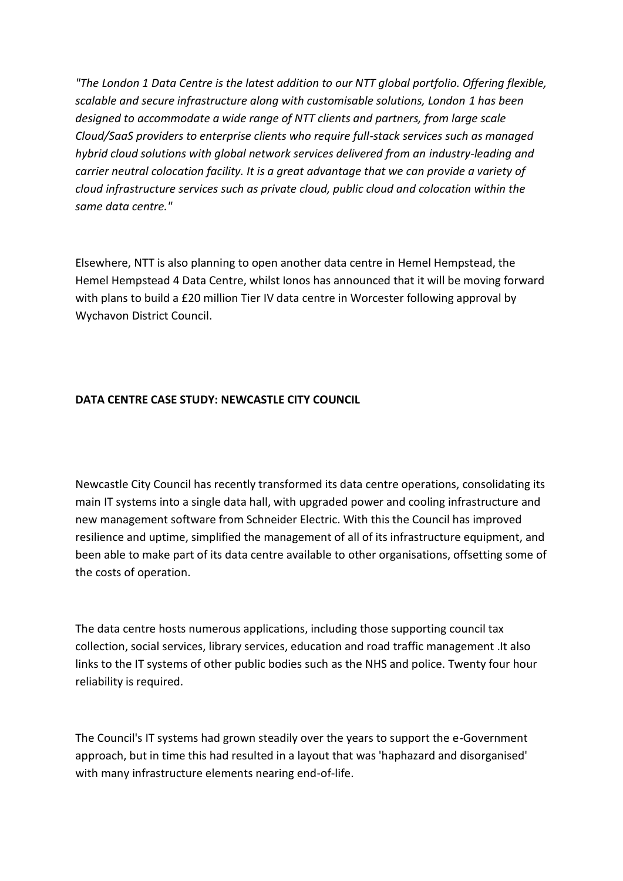*"The London 1 Data Centre is the latest addition to our NTT global portfolio. Offering flexible, scalable and secure infrastructure along with customisable solutions, London 1 has been designed to accommodate a wide range of NTT clients and partners, from large scale Cloud/SaaS providers to enterprise clients who require full-stack services such as managed hybrid cloud solutions with global network services delivered from an industry-leading and carrier neutral colocation facility. It is a great advantage that we can provide a variety of cloud infrastructure services such as private cloud, public cloud and colocation within the same data centre."*

Elsewhere, NTT is also planning to open another data centre in Hemel Hempstead, the Hemel Hempstead 4 Data Centre, whilst Ionos has announced that it will be moving forward with plans to build a £20 million Tier IV data centre in Worcester following approval by Wychavon District Council.

# **DATA CENTRE CASE STUDY: NEWCASTLE CITY COUNCIL**

Newcastle City Council has recently transformed its data centre operations, consolidating its main IT systems into a single data hall, with upgraded power and cooling infrastructure and new management software from Schneider Electric. With this the Council has improved resilience and uptime, simplified the management of all of its infrastructure equipment, and been able to make part of its data centre available to other organisations, offsetting some of the costs of operation.

The data centre hosts numerous applications, including those supporting council tax collection, social services, library services, education and road traffic management .It also links to the IT systems of other public bodies such as the NHS and police. Twenty four hour reliability is required.

The Council's IT systems had grown steadily over the years to support the e-Government approach, but in time this had resulted in a layout that was 'haphazard and disorganised' with many infrastructure elements nearing end-of-life.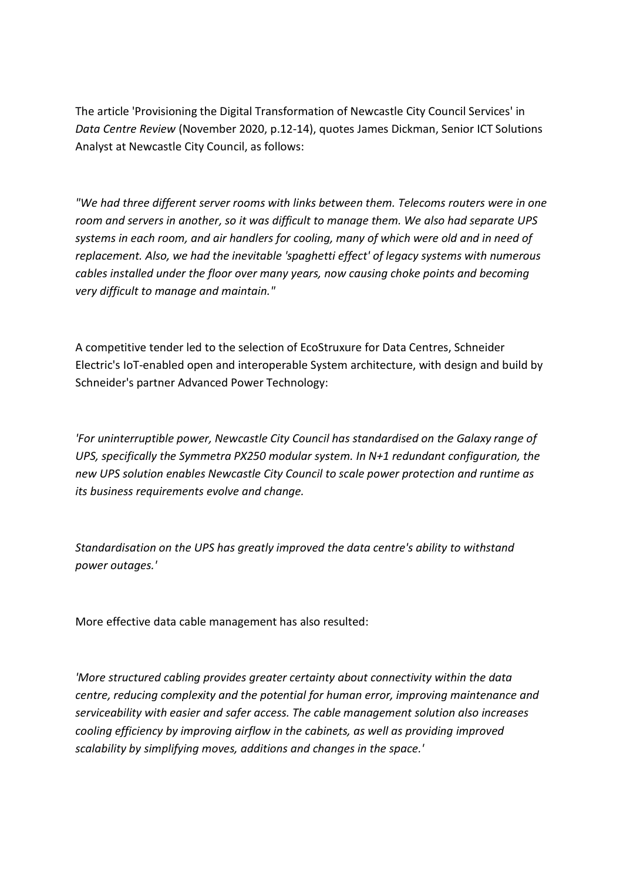The article 'Provisioning the Digital Transformation of Newcastle City Council Services' in *Data Centre Review* (November 2020, p.12-14), quotes James Dickman, Senior ICT Solutions Analyst at Newcastle City Council, as follows:

*"We had three different server rooms with links between them. Telecoms routers were in one room and servers in another, so it was difficult to manage them. We also had separate UPS systems in each room, and air handlers for cooling, many of which were old and in need of replacement. Also, we had the inevitable 'spaghetti effect' of legacy systems with numerous cables installed under the floor over many years, now causing choke points and becoming very difficult to manage and maintain."*

A competitive tender led to the selection of EcoStruxure for Data Centres, Schneider Electric's IoT-enabled open and interoperable System architecture, with design and build by Schneider's partner Advanced Power Technology:

*'For uninterruptible power, Newcastle City Council has standardised on the Galaxy range of UPS, specifically the Symmetra PX250 modular system. In N+1 redundant configuration, the new UPS solution enables Newcastle City Council to scale power protection and runtime as its business requirements evolve and change.*

*Standardisation on the UPS has greatly improved the data centre's ability to withstand power outages.'*

More effective data cable management has also resulted:

*'More structured cabling provides greater certainty about connectivity within the data centre, reducing complexity and the potential for human error, improving maintenance and serviceability with easier and safer access. The cable management solution also increases cooling efficiency by improving airflow in the cabinets, as well as providing improved scalability by simplifying moves, additions and changes in the space.'*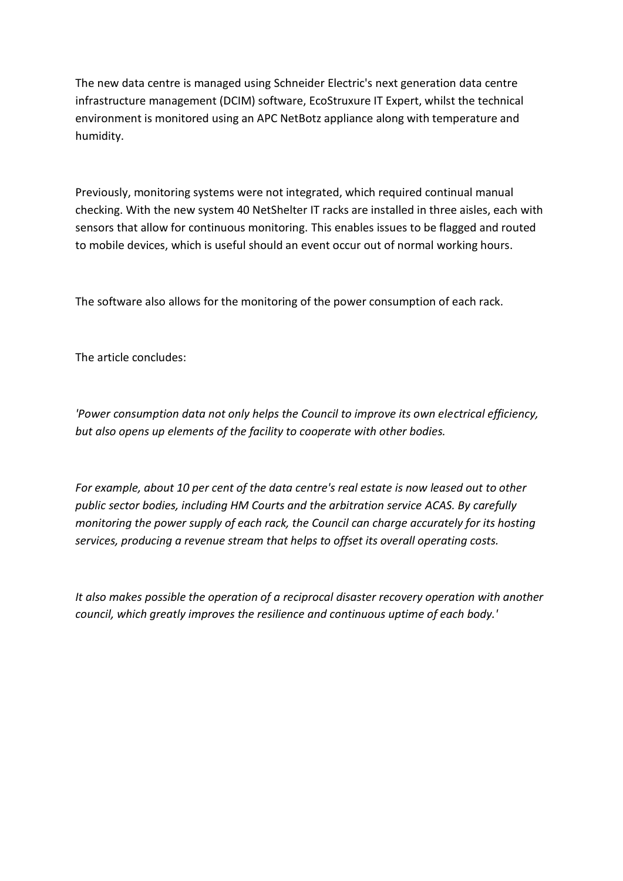The new data centre is managed using Schneider Electric's next generation data centre infrastructure management (DCIM) software, EcoStruxure IT Expert, whilst the technical environment is monitored using an APC NetBotz appliance along with temperature and humidity.

Previously, monitoring systems were not integrated, which required continual manual checking. With the new system 40 NetShelter IT racks are installed in three aisles, each with sensors that allow for continuous monitoring. This enables issues to be flagged and routed to mobile devices, which is useful should an event occur out of normal working hours.

The software also allows for the monitoring of the power consumption of each rack.

The article concludes:

*'Power consumption data not only helps the Council to improve its own electrical efficiency, but also opens up elements of the facility to cooperate with other bodies.*

*For example, about 10 per cent of the data centre's real estate is now leased out to other public sector bodies, including HM Courts and the arbitration service ACAS. By carefully monitoring the power supply of each rack, the Council can charge accurately for its hosting services, producing a revenue stream that helps to offset its overall operating costs.*

*It also makes possible the operation of a reciprocal disaster recovery operation with another council, which greatly improves the resilience and continuous uptime of each body.'*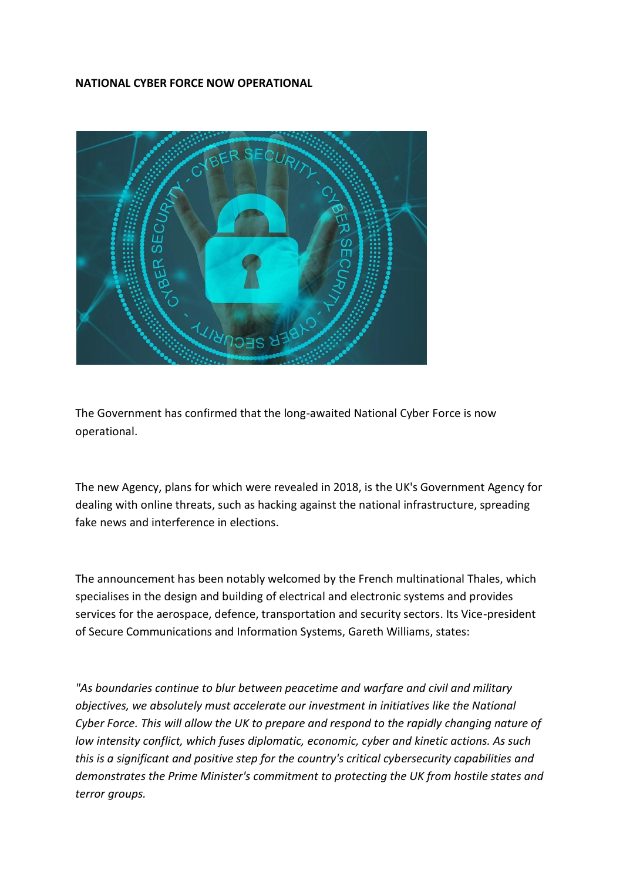#### **NATIONAL CYBER FORCE NOW OPERATIONAL**



The Government has confirmed that the long-awaited National Cyber Force is now operational.

The new Agency, plans for which were revealed in 2018, is the UK's Government Agency for dealing with online threats, such as hacking against the national infrastructure, spreading fake news and interference in elections.

The announcement has been notably welcomed by the French multinational Thales, which specialises in the design and building of electrical and electronic systems and provides services for the aerospace, defence, transportation and security sectors. Its Vice-president of Secure Communications and Information Systems, Gareth Williams, states:

*"As boundaries continue to blur between peacetime and warfare and civil and military objectives, we absolutely must accelerate our investment in initiatives like the National Cyber Force. This will allow the UK to prepare and respond to the rapidly changing nature of low intensity conflict, which fuses diplomatic, economic, cyber and kinetic actions. As such this is a significant and positive step for the country's critical cybersecurity capabilities and demonstrates the Prime Minister's commitment to protecting the UK from hostile states and terror groups.*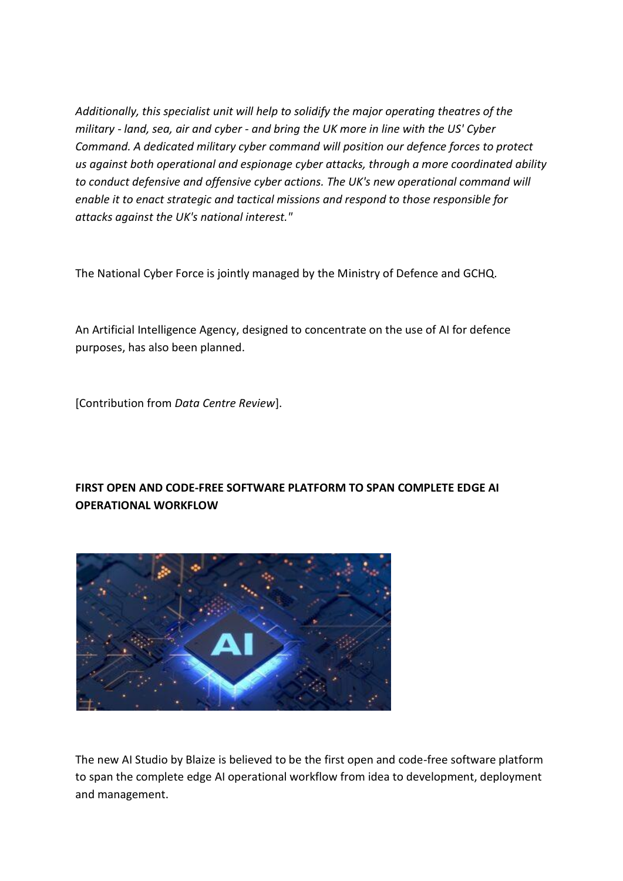*Additionally, this specialist unit will help to solidify the major operating theatres of the military - land, sea, air and cyber - and bring the UK more in line with the US' Cyber Command. A dedicated military cyber command will position our defence forces to protect us against both operational and espionage cyber attacks, through a more coordinated ability to conduct defensive and offensive cyber actions. The UK's new operational command will enable it to enact strategic and tactical missions and respond to those responsible for attacks against the UK's national interest."*

The National Cyber Force is jointly managed by the Ministry of Defence and GCHQ.

An Artificial Intelligence Agency, designed to concentrate on the use of AI for defence purposes, has also been planned.

[Contribution from *Data Centre Review*].

# **FIRST OPEN AND CODE-FREE SOFTWARE PLATFORM TO SPAN COMPLETE EDGE AI OPERATIONAL WORKFLOW**



The new AI Studio by Blaize is believed to be the first open and code-free software platform to span the complete edge AI operational workflow from idea to development, deployment and management.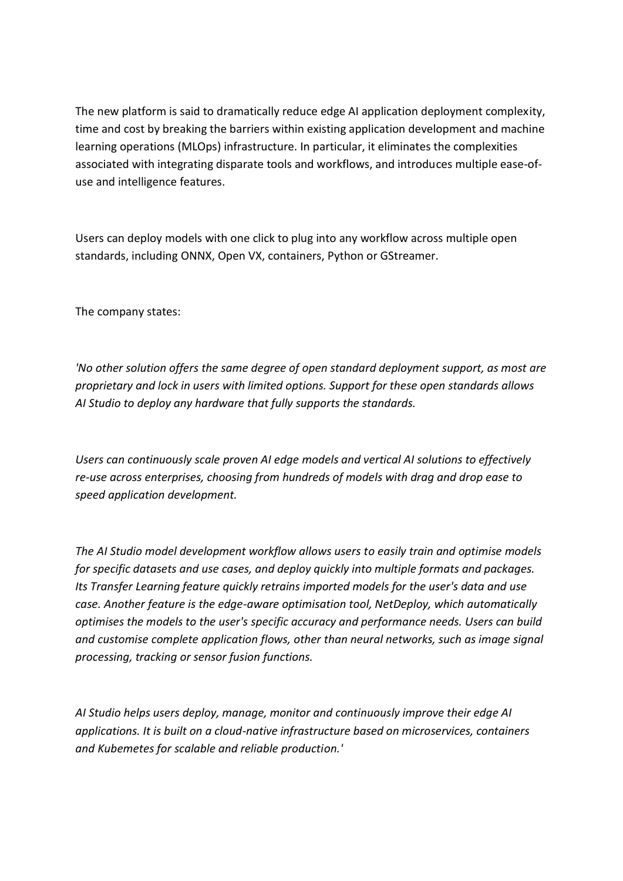The new platform is said to dramatically reduce edge AI application deployment complexity, time and cost by breaking the barriers within existing application development and machine learning operations (MLOps) infrastructure. In particular, it eliminates the complexities associated with integrating disparate tools and workflows, and introduces multiple ease-ofuse and intelligence features.

Users can deploy models with one click to plug into any workflow across multiple open standards, including ONNX, Open VX, containers, Python or GStreamer.

The company states:

*'No other solution offers the same degree of open standard deployment support, as most are proprietary and lock in users with limited options. Support for these open standards allows AI Studio to deploy any hardware that fully supports the standards.*

*Users can continuously scale proven AI edge models and vertical AI solutions to effectively re-use across enterprises, choosing from hundreds of models with drag and drop ease to speed application development.*

*The AI Studio model development workflow allows users to easily train and optimise models for specific datasets and use cases, and deploy quickly into multiple formats and packages. Its Transfer Learning feature quickly retrains imported models for the user's data and use case. Another feature is the edge-aware optimisation tool, NetDeploy, which automatically optimises the models to the user's specific accuracy and performance needs. Users can build and customise complete application flows, other than neural networks, such as image signal processing, tracking or sensor fusion functions.*

*AI Studio helps users deploy, manage, monitor and continuously improve their edge AI applications. It is built on a cloud-native infrastructure based on microservices, containers and Kubemetes for scalable and reliable production.'*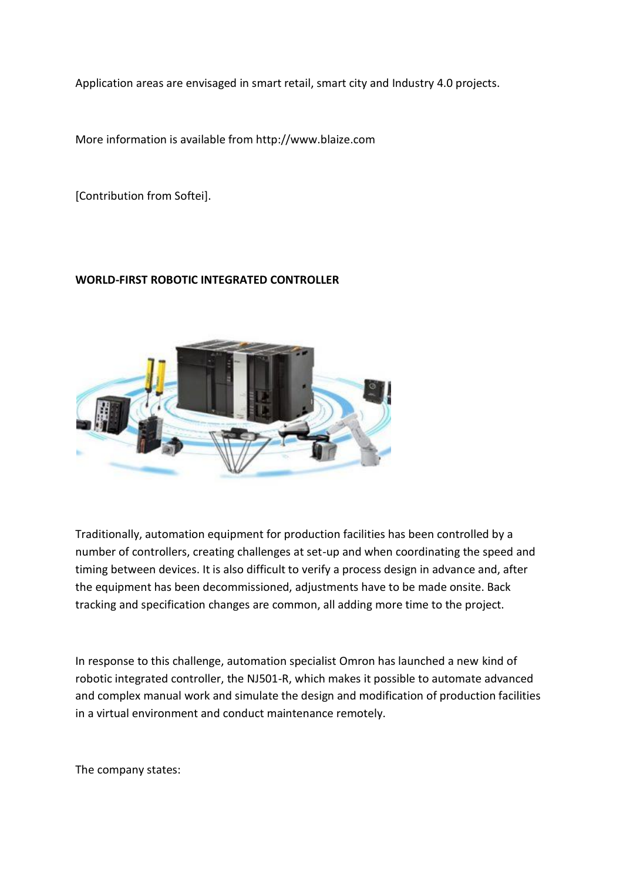Application areas are envisaged in smart retail, smart city and Industry 4.0 projects.

More information is available from http://www.blaize.com

[Contribution from Softei].

# **WORLD-FIRST ROBOTIC INTEGRATED CONTROLLER**



Traditionally, automation equipment for production facilities has been controlled by a number of controllers, creating challenges at set-up and when coordinating the speed and timing between devices. It is also difficult to verify a process design in advance and, after the equipment has been decommissioned, adjustments have to be made onsite. Back tracking and specification changes are common, all adding more time to the project.

In response to this challenge, automation specialist Omron has launched a new kind of robotic integrated controller, the NJ501-R, which makes it possible to automate advanced and complex manual work and simulate the design and modification of production facilities in a virtual environment and conduct maintenance remotely.

The company states: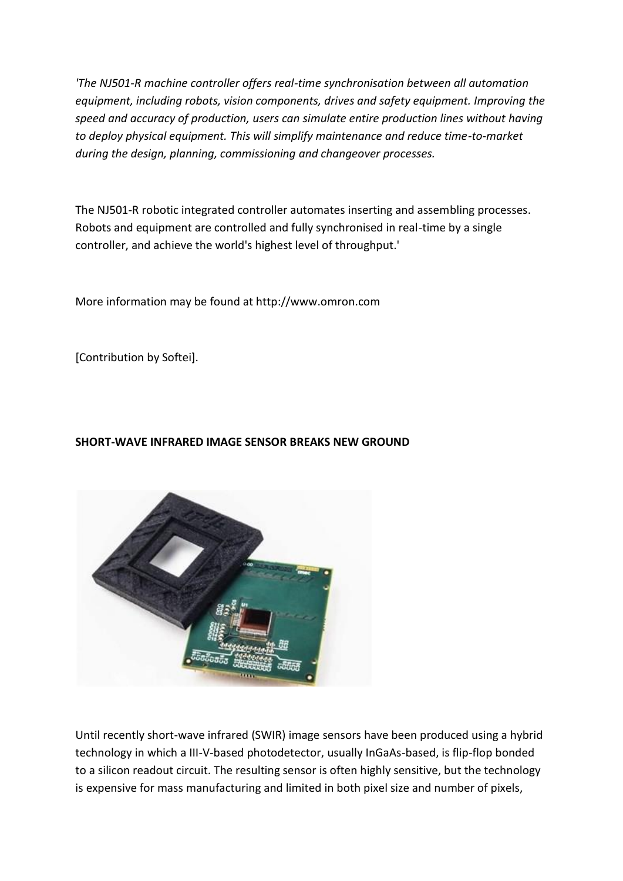*'The NJ501-R machine controller offers real-time synchronisation between all automation equipment, including robots, vision components, drives and safety equipment. Improving the speed and accuracy of production, users can simulate entire production lines without having to deploy physical equipment. This will simplify maintenance and reduce time-to-market during the design, planning, commissioning and changeover processes.*

The NJ501-R robotic integrated controller automates inserting and assembling processes. Robots and equipment are controlled and fully synchronised in real-time by a single controller, and achieve the world's highest level of throughput.'

More information may be found at http://www.omron.com

[Contribution by Softei].

# **SHORT-WAVE INFRARED IMAGE SENSOR BREAKS NEW GROUND**



Until recently short-wave infrared (SWIR) image sensors have been produced using a hybrid technology in which a III-V-based photodetector, usually InGaAs-based, is flip-flop bonded to a silicon readout circuit. The resulting sensor is often highly sensitive, but the technology is expensive for mass manufacturing and limited in both pixel size and number of pixels,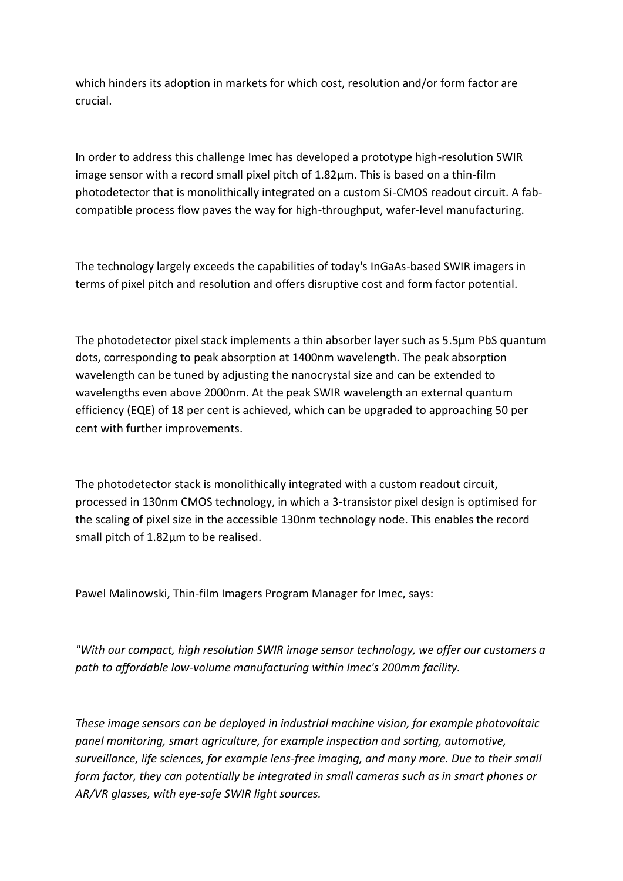which hinders its adoption in markets for which cost, resolution and/or form factor are crucial.

In order to address this challenge Imec has developed a prototype high-resolution SWIR image sensor with a record small pixel pitch of  $1.82 \mu m$ . This is based on a thin-film photodetector that is monolithically integrated on a custom Si-CMOS readout circuit. A fabcompatible process flow paves the way for high-throughput, wafer-level manufacturing.

The technology largely exceeds the capabilities of today's InGaAs-based SWIR imagers in terms of pixel pitch and resolution and offers disruptive cost and form factor potential.

The photodetector pixel stack implements a thin absorber layer such as 5.5µm PbS quantum dots, corresponding to peak absorption at 1400nm wavelength. The peak absorption wavelength can be tuned by adjusting the nanocrystal size and can be extended to wavelengths even above 2000nm. At the peak SWIR wavelength an external quantum efficiency (EQE) of 18 per cent is achieved, which can be upgraded to approaching 50 per cent with further improvements.

The photodetector stack is monolithically integrated with a custom readout circuit, processed in 130nm CMOS technology, in which a 3-transistor pixel design is optimised for the scaling of pixel size in the accessible 130nm technology node. This enables the record small pitch of 1.82µm to be realised.

Pawel Malinowski, Thin-film Imagers Program Manager for Imec, says:

*"With our compact, high resolution SWIR image sensor technology, we offer our customers a path to affordable low-volume manufacturing within Imec's 200mm facility.*

*These image sensors can be deployed in industrial machine vision, for example photovoltaic panel monitoring, smart agriculture, for example inspection and sorting, automotive, surveillance, life sciences, for example lens-free imaging, and many more. Due to their small form factor, they can potentially be integrated in small cameras such as in smart phones or AR/VR glasses, with eye-safe SWIR light sources.*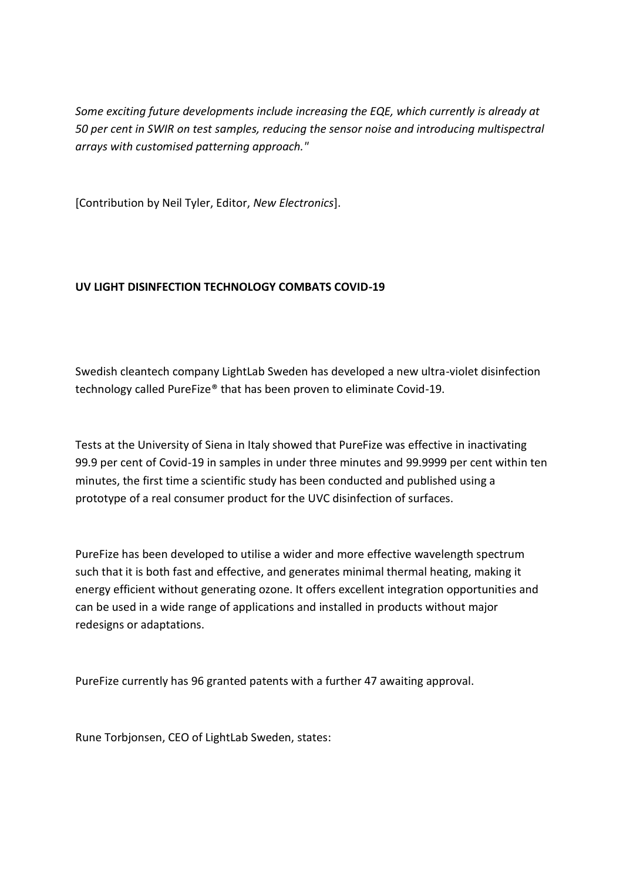*Some exciting future developments include increasing the EQE, which currently is already at 50 per cent in SWIR on test samples, reducing the sensor noise and introducing multispectral arrays with customised patterning approach."*

[Contribution by Neil Tyler, Editor, *New Electronics*].

# **UV LIGHT DISINFECTION TECHNOLOGY COMBATS COVID-19**

Swedish cleantech company LightLab Sweden has developed a new ultra-violet disinfection technology called PureFize® that has been proven to eliminate Covid-19.

Tests at the University of Siena in Italy showed that PureFize was effective in inactivating 99.9 per cent of Covid-19 in samples in under three minutes and 99.9999 per cent within ten minutes, the first time a scientific study has been conducted and published using a prototype of a real consumer product for the UVC disinfection of surfaces.

PureFize has been developed to utilise a wider and more effective wavelength spectrum such that it is both fast and effective, and generates minimal thermal heating, making it energy efficient without generating ozone. It offers excellent integration opportunities and can be used in a wide range of applications and installed in products without major redesigns or adaptations.

PureFize currently has 96 granted patents with a further 47 awaiting approval.

Rune Torbjonsen, CEO of LightLab Sweden, states: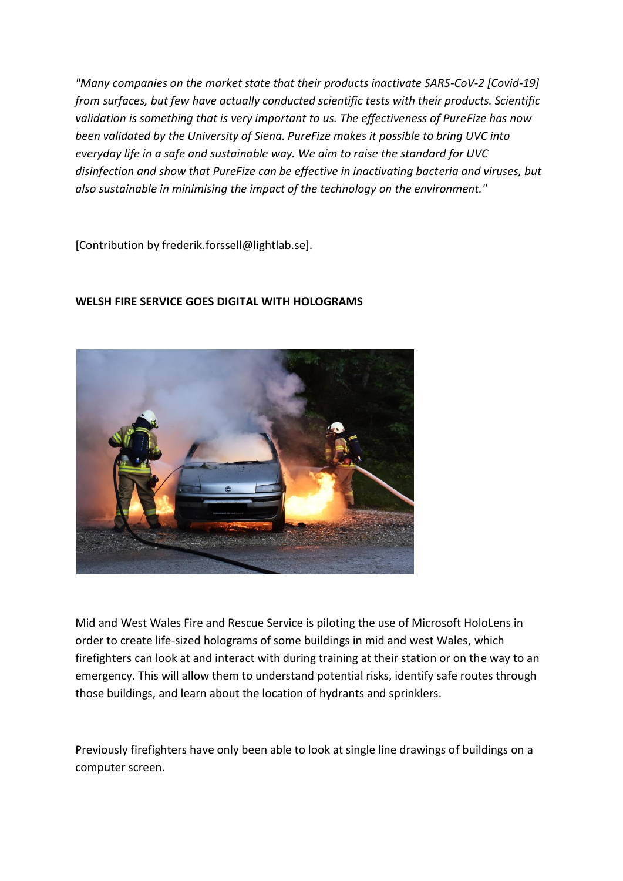*"Many companies on the market state that their products inactivate SARS-CoV-2 [Covid-19] from surfaces, but few have actually conducted scientific tests with their products. Scientific validation is something that is very important to us. The effectiveness of PureFize has now been validated by the University of Siena. PureFize makes it possible to bring UVC into everyday life in a safe and sustainable way. We aim to raise the standard for UVC disinfection and show that PureFize can be effective in inactivating bacteria and viruses, but also sustainable in minimising the impact of the technology on the environment."*

[Contribution by frederik.forssell@lightlab.se].

# **WELSH FIRE SERVICE GOES DIGITAL WITH HOLOGRAMS**



Mid and West Wales Fire and Rescue Service is piloting the use of Microsoft HoloLens in order to create life-sized holograms of some buildings in mid and west Wales, which firefighters can look at and interact with during training at their station or on the way to an emergency. This will allow them to understand potential risks, identify safe routes through those buildings, and learn about the location of hydrants and sprinklers.

Previously firefighters have only been able to look at single line drawings of buildings on a computer screen.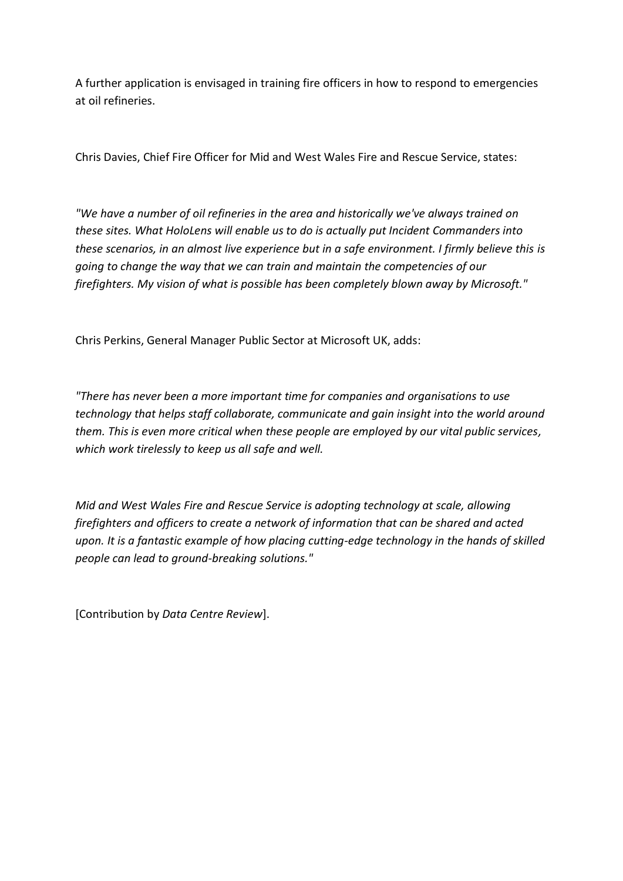A further application is envisaged in training fire officers in how to respond to emergencies at oil refineries.

Chris Davies, Chief Fire Officer for Mid and West Wales Fire and Rescue Service, states:

*"We have a number of oil refineries in the area and historically we've always trained on these sites. What HoloLens will enable us to do is actually put Incident Commanders into these scenarios, in an almost live experience but in a safe environment. I firmly believe this is going to change the way that we can train and maintain the competencies of our firefighters. My vision of what is possible has been completely blown away by Microsoft."*

Chris Perkins, General Manager Public Sector at Microsoft UK, adds:

*"There has never been a more important time for companies and organisations to use technology that helps staff collaborate, communicate and gain insight into the world around them. This is even more critical when these people are employed by our vital public services, which work tirelessly to keep us all safe and well.*

*Mid and West Wales Fire and Rescue Service is adopting technology at scale, allowing firefighters and officers to create a network of information that can be shared and acted upon. It is a fantastic example of how placing cutting-edge technology in the hands of skilled people can lead to ground-breaking solutions."*

[Contribution by *Data Centre Review*].